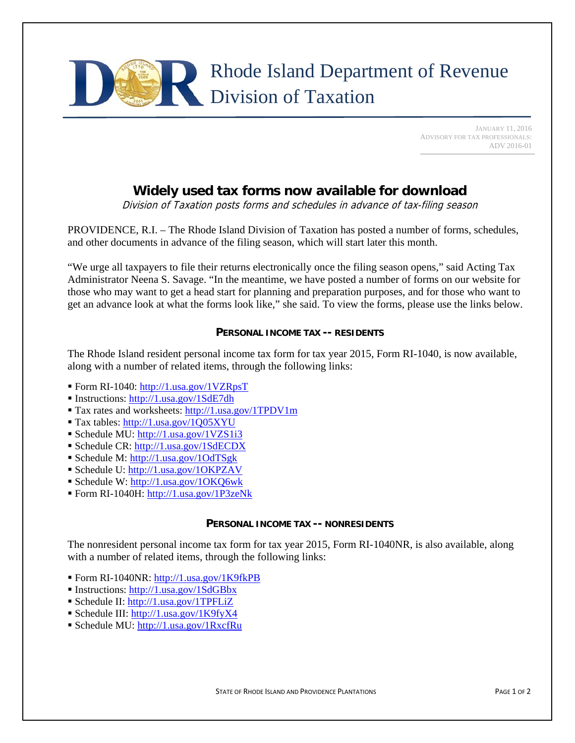

 JANUARY 11, 2016 ADVISORY FOR TAX PROFESSIONALS: ADV 2016-01

# **Widely used tax forms now available for download**

Division of Taxation posts forms and schedules in advance of tax-filing season

PROVIDENCE, R.I. – The Rhode Island Division of Taxation has posted a number of forms, schedules, and other documents in advance of the filing season, which will start later this month.

"We urge all taxpayers to file their returns electronically once the filing season opens," said Acting Tax Administrator Neena S. Savage. "In the meantime, we have posted a number of forms on our website for those who may want to get a head start for planning and preparation purposes, and for those who want to get an advance look at what the forms look like," she said. To view the forms, please use the links below.

## **PERSONAL INCOME TAX -- RESIDENTS**

The Rhode Island resident personal income tax form for tax year 2015, Form RI-1040, is now available, along with a number of related items, through the following links:

- Form RI-1040: http://1.usa.gov/1VZRpsT
- Instructions: http://1.usa.gov/1SdE7dh
- Tax rates and worksheets: http://1.usa.gov/1TPDV1m
- Tax tables: http://1.usa.gov/1Q05XYU
- Schedule MU: http://1.usa.gov/1VZS1i3
- Schedule CR: http://1.usa.gov/1SdECDX
- Schedule M: http://1.usa.gov/1OdTSgk
- Schedule U: http://1.usa.gov/1OKPZAV
- Schedule W: http://1.usa.gov/1OKQ6wk
- Form RI-1040H: http://1.usa.gov/1P3zeNk

## **PERSONAL INCOME TAX -- NONRESIDENTS**

The nonresident personal income tax form for tax year 2015, Form RI-1040NR, is also available, along with a number of related items, through the following links:

- Form RI-1040NR: http://1.usa.gov/1K9fkPB
- Instructions: http://1.usa.gov/1SdGBbx
- Schedule II: http://1.usa.gov/1TPFLiZ
- Schedule III: http://1.usa.gov/1K9fyX4
- Schedule MU: http://1.usa.gov/1RxcfRu